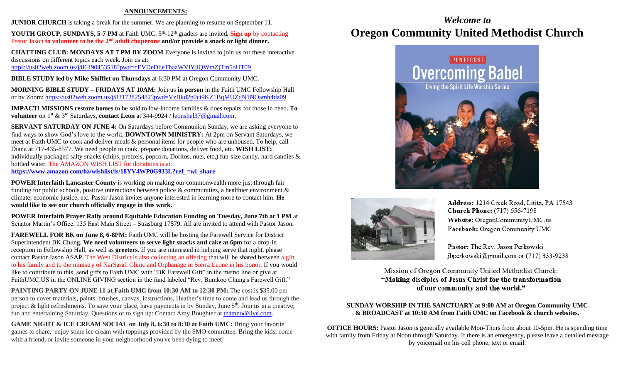### **ANNOUNCEMENTS:**

**JUNIOR CHURCH** is taking a break for the summer. We are planning to resume on September 11.

YOUTH GROUP, SUNDAYS, 5-7 PM at Faith UMC. 5<sup>th</sup>-12<sup>th</sup> graders are invited. Sign up by contacting Pastor Jason **to volunteer to be the 2nd adult chaperone and/or provide a snack or light dinner.**

**CHATTING CLUB: MONDAYS AT 7 PM BY ZOOM** Everyone is invited to join us for these interactive discussions on different topics each week. Join us at: <https://us02web.zoom.us/j/86190453518?pwd=cEVDeDljeThaaWVlYjlQWmZjTm5oUT09>

**BIBLE STUDY led by Mike Shifflet on Thursdays** at 6:30 PM at Oregon Community UMC.

**MORNING BIBLE STUDY – FRIDAYS AT 10AM:** Join us **in person** in the Faith UMC Fellowship Hall or by Zoom:<https://us02web.zoom.us/j/83172825482?pwd=VzBkd2p0ci9KZ1BqMUZqN1NOamh4dz09>

**IMPACT! MISSIONS restore homes** to be sold to low-income families & does repairs for those in need. **To volunteer** on 1st & 3rd Saturdays, **contact Leon** at 344-9924 / [leonshel37@gmail.com.](about:blank)

**SERVANT SATURDAY ON JUNE 4:** On Saturdays before Communion Sunday, we are asking everyone to find ways to show God's love to the world. **DOWNTOWN MINISTRY:** At 2pm on Servant Saturdays, we meet at Faith UMC to cook and deliver meals & personal items for people who are unhoused. To help, call Diana at 717-435-8577. We need people to cook, prepare donations, deliver food, etc. **WISH LIST:**  individually packaged salty snacks (chips, pretzels, popcorn, Doritos, nuts, etc,) fun-size candy, hard candies & bottled water. The AMAZON WISH LIST for donations is at: **[https://www.amazon.com/hz/wishlist/ls/18YV4WP0G933L?ref\\_=wl\\_share](https://www.amazon.com/hz/wishlist/ls/18YV4WP0G933L?ref_=wl_share)**

**POWER Interfaith Lancaster County** is working on making our commonwealth more just through fair funding for public schools, positive interactions between police & communities, a healthier environment & climate, economic justice, etc. Pastor Jason invites anyone interested in learning more to contact him. **He would like to see our church officially engage in this work.**

**POWER Interfaith Prayer Rally around Equitable Education Funding on Tuesday, June 7th at 1 PM** at Senator Martin's Office, 135 East Main Street – Strasburg 17579. All are invited to attend with Pastor Jason.

**FAREWELL FOR BK on June 8, 6-8PM:** Faith UMC will be hosting the Farewell Service for District Superintendent BK Chung. **We need volunteers to serve light snacks and cake at 6pm** for a drop-in reception in Fellowship Hall, as well as **greeters**. If you are interested in helping serve that night, please contact Pastor Jason ASAP. The West District is also collecting an offering that will be shared between a gift to his family and to the ministry of NarSarah Clinic and Orphanage in Sierra Leone in his honor. If you would like to contribute to this, send gifts to Faith UMC with "BK Farewell Gift" in the memo line or give at FaithUMC.US in the ONLINE GIVING section in the fund labeled "Rev. Bumkoo Chung's Farewell Gift."

**PAINTING PARTY ON JUNE 11 at Faith UMC from 10:30 AM to 12:30 PM:** The cost is \$35.00 per person to cover materials, paints, brushes, canvas, instructions, Heather's time to come and lead us through the project & light refreshments. To save your place, have payments in by Sunday, June 5<sup>th</sup>. Join us in a creative, fun and entertaining Saturday. Questions or to sign up: Contact Amy Boughter a[t thamno@live.com.](mailto:thamno@live.com)

**GAME NIGHT & ICE CREAM SOCIAL on July 8, 6:30 to 8:30 at Faith UMC:** Bring your favorite games to share, enjoy some ice cream with toppings provided by the SMO committee. Bring the kids, come with a friend, or invite someone in your neighborhood you've been dying to meet!

## *Welcome to* **Oregon Community United Methodist Church**





Address: 1214 Creek Road, Lititz, PA 17543 **Church Phone:** (717) 656-7198 Website: OregonCommunityUMC.us Facebook: Oregon Community UMC

Pastor: The Rev. Jason Perkowski jbperkowski@gmail.com or  $(717)$  333-9238

Mission of Oregon Community United Methodist Church: "Making disciples of Jesus Christ for the transformation of our community and the world."

### **SUNDAY WORSHIP IN THE SANCTUARY at 9:00 AM at Oregon Community UMC & BROADCAST at 10:30 AM from Faith UMC on Facebook & church websites.**

**OFFICE HOURS:** Pastor Jason is generally available Mon-Thurs from about 10-5pm. He is spending time with family from Friday at Noon through Saturday. If there is an emergency, please leave a detailed message by voicemail on his cell phone, text or email.